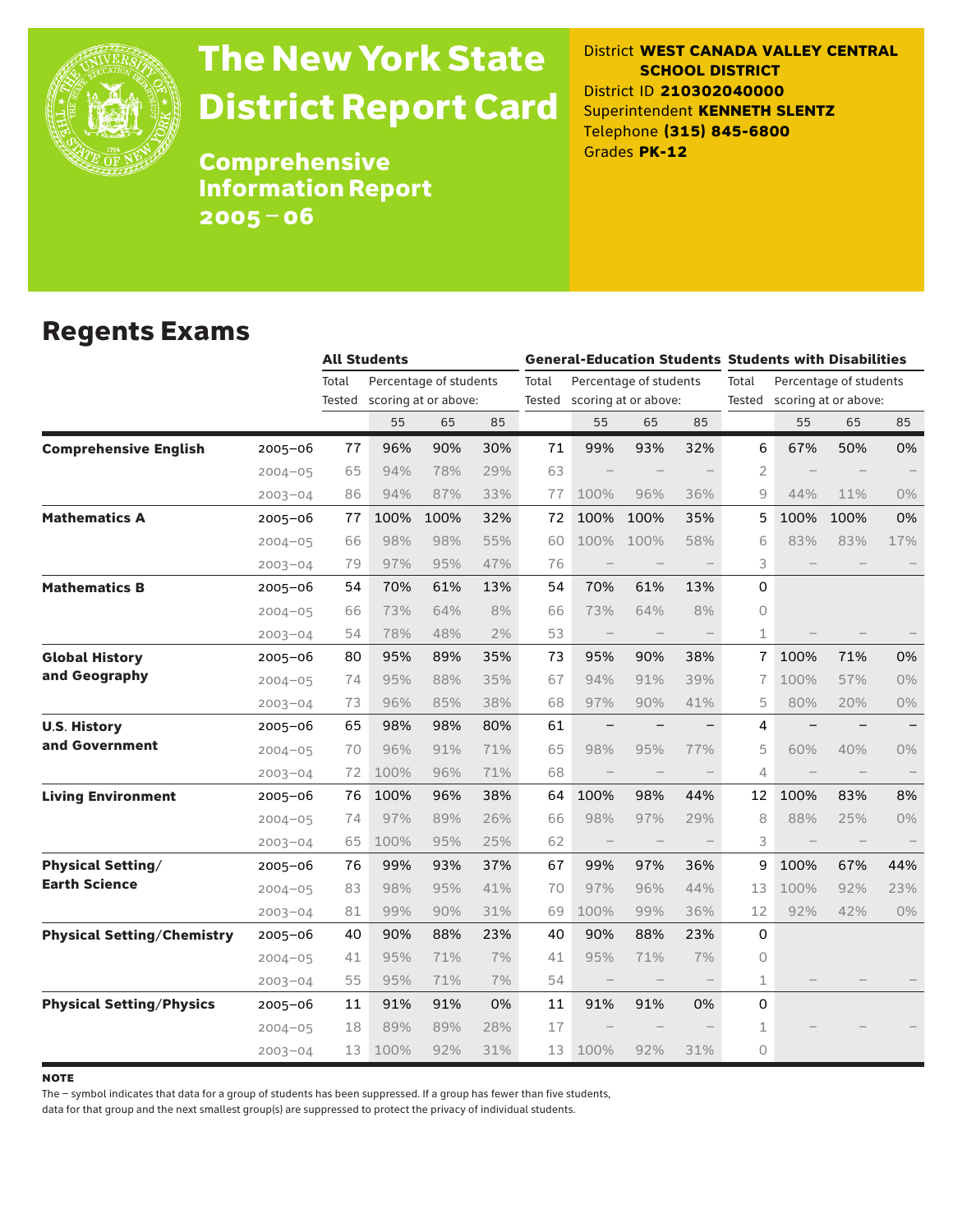

# The New York State District Report Card

District **WEST CANADA VALLEY CENTRAL SCHOOL DISTRICT** District ID **210302040000** Superintendent **KENNETH SLENTZ** Telephone **(315) 845-6800** Grades **PK-12**

**Comprehensive** Information Report 2005–06

### Regents Exams

|                                   |             | <b>All Students</b> |      |                                                |     | <b>General-Education Students Students with Disabilities</b> |                                 |                                                       |     |                 |                                   |                                                |                   |
|-----------------------------------|-------------|---------------------|------|------------------------------------------------|-----|--------------------------------------------------------------|---------------------------------|-------------------------------------------------------|-----|-----------------|-----------------------------------|------------------------------------------------|-------------------|
|                                   |             | Total<br>Tested     |      | Percentage of students<br>scoring at or above: |     | Total                                                        |                                 | Percentage of students<br>Tested scoring at or above: |     | Total<br>Tested |                                   | Percentage of students<br>scoring at or above: |                   |
|                                   |             |                     | 55   | 65                                             | 85  |                                                              | 55                              | 65                                                    | 85  |                 | 55                                | 65                                             | 85                |
| <b>Comprehensive English</b>      | $2005 - 06$ | 77                  | 96%  | 90%                                            | 30% | 71                                                           | 99%                             | 93%                                                   | 32% | 6               | 67%                               | 50%                                            | 0%                |
|                                   | $2004 - 05$ | 65                  | 94%  | 78%                                            | 29% | 63                                                           |                                 |                                                       |     | 2               |                                   |                                                |                   |
|                                   | $2003 - 04$ | 86                  | 94%  | 87%                                            | 33% | 77                                                           | 100%                            | 96%                                                   | 36% | 9               | 44%                               | 11%                                            | 0%                |
| <b>Mathematics A</b>              | $2005 - 06$ | 77                  | 100% | 100%                                           | 32% | 72                                                           | 100%                            | 100%                                                  | 35% | 5               | 100%                              | 100%                                           | 0%                |
|                                   | $2004 - 05$ | 66                  | 98%  | 98%                                            | 55% | 60                                                           | 100%                            | 100%                                                  | 58% | 6               | 83%                               | 83%                                            | 17%               |
|                                   | $2003 - 04$ | 79                  | 97%  | 95%                                            | 47% | 76                                                           |                                 |                                                       |     | 3               |                                   |                                                |                   |
| <b>Mathematics B</b>              | $2005 - 06$ | 54                  | 70%  | 61%                                            | 13% | 54                                                           | 70%                             | 61%                                                   | 13% | 0               |                                   |                                                |                   |
|                                   | $2004 - 05$ | 66                  | 73%  | 64%                                            | 8%  | 66                                                           | 73%                             | 64%                                                   | 8%  | 0               |                                   |                                                |                   |
|                                   | $2003 - 04$ | 54                  | 78%  | 48%                                            | 2%  | 53                                                           | $\hspace{0.1mm}-\hspace{0.1mm}$ |                                                       |     | $\mathbf{1}$    |                                   |                                                |                   |
| <b>Global History</b>             | 2005-06     | 80                  | 95%  | 89%                                            | 35% | 73                                                           | 95%                             | 90%                                                   | 38% | $\overline{1}$  | 100%                              | 71%                                            | 0%                |
| and Geography                     | $2004 - 05$ | 74                  | 95%  | 88%                                            | 35% | 67                                                           | 94%                             | 91%                                                   | 39% | 7               | 100%                              | 57%                                            | 0%                |
|                                   | $2003 - 04$ | 73                  | 96%  | 85%                                            | 38% | 68                                                           | 97%                             | 90%                                                   | 41% | 5               | 80%                               | 20%                                            | $0\%$             |
| <b>U.S. History</b>               | 2005-06     | 65                  | 98%  | 98%                                            | 80% | 61                                                           | $\qquad \qquad -$               |                                                       |     | 4               | $\overline{\phantom{0}}$          |                                                | $\qquad \qquad -$ |
| and Government                    | $2004 - 05$ | 70                  | 96%  | 91%                                            | 71% | 65                                                           | 98%                             | 95%                                                   | 77% | 5               | 60%                               | 40%                                            | $0\%$             |
|                                   | $2003 - 04$ | 72                  | 100% | 96%                                            | 71% | 68                                                           | $\qquad \qquad -$               |                                                       |     | 4               |                                   |                                                |                   |
| <b>Living Environment</b>         | 2005-06     | 76                  | 100% | 96%                                            | 38% | 64                                                           | 100%                            | 98%                                                   | 44% | 12              | 100%                              | 83%                                            | 8%                |
|                                   | $2004 - 05$ | 74                  | 97%  | 89%                                            | 26% | 66                                                           | 98%                             | 97%                                                   | 29% | 8               | 88%                               | 25%                                            | $0\%$             |
|                                   | $2003 - 04$ | 65                  | 100% | 95%                                            | 25% | 62                                                           | $\qquad \qquad -$               | $\overline{\phantom{m}}$                              |     | 3               | $\hspace{1.0cm} - \hspace{1.0cm}$ |                                                |                   |
| <b>Physical Setting/</b>          | $2005 - 06$ | 76                  | 99%  | 93%                                            | 37% | 67                                                           | 99%                             | 97%                                                   | 36% | 9               | 100%                              | 67%                                            | 44%               |
| <b>Earth Science</b>              | $2004 - 05$ | 83                  | 98%  | 95%                                            | 41% | 70                                                           | 97%                             | 96%                                                   | 44% | 13              | 100%                              | 92%                                            | 23%               |
|                                   | $2003 - 04$ | 81                  | 99%  | 90%                                            | 31% | 69                                                           | 100%                            | 99%                                                   | 36% | 12              | 92%                               | 42%                                            | $0\%$             |
| <b>Physical Setting/Chemistry</b> | 2005-06     | 40                  | 90%  | 88%                                            | 23% | 40                                                           | 90%                             | 88%                                                   | 23% | 0               |                                   |                                                |                   |
|                                   | $2004 - 05$ | 41                  | 95%  | 71%                                            | 7%  | 41                                                           | 95%                             | 71%                                                   | 7%  | 0               |                                   |                                                |                   |
|                                   | $2003 - 04$ | 55                  | 95%  | 71%                                            | 7%  | 54                                                           | $\qquad \qquad -$               |                                                       |     | 1               |                                   |                                                |                   |
| <b>Physical Setting/Physics</b>   | $2005 - 06$ | 11                  | 91%  | 91%                                            | 0%  | 11                                                           | 91%                             | 91%                                                   | 0%  | 0               |                                   |                                                |                   |
|                                   | $2004 - 05$ | 18                  | 89%  | 89%                                            | 28% | 17                                                           |                                 |                                                       |     | 1               |                                   |                                                |                   |
|                                   | $2003 - 04$ | 13                  | 100% | 92%                                            | 31% | 13                                                           | 100%                            | 92%                                                   | 31% | $\circ$         |                                   |                                                |                   |

**NOTE** 

The – symbol indicates that data for a group of students has been suppressed. If a group has fewer than five students,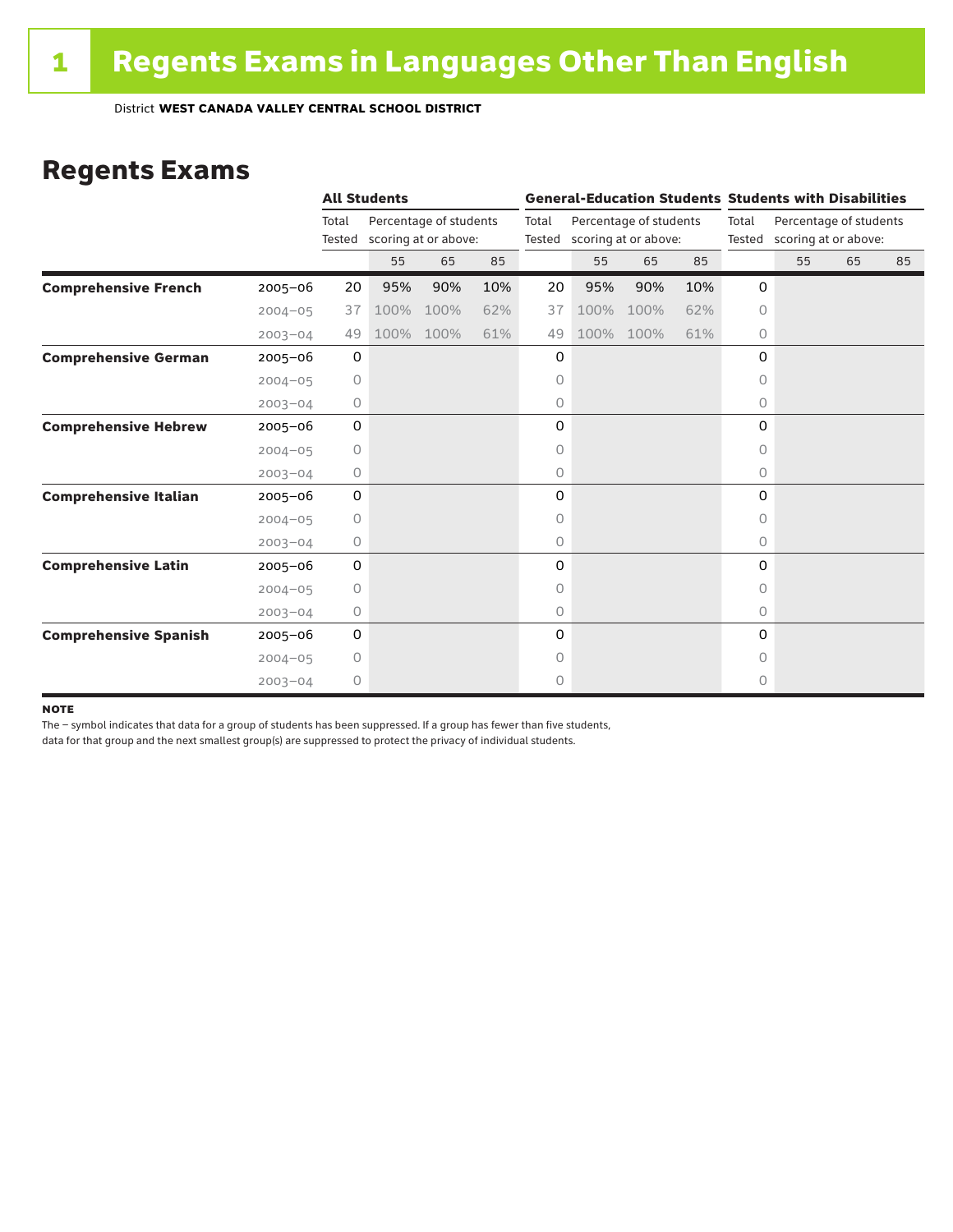### Regents Exams

|                              |             |                 | <b>All Students</b> |                                                |     |                 | <b>General-Education Students Students with Disabilities</b> |                                                |     |           |                                                       |    |    |  |
|------------------------------|-------------|-----------------|---------------------|------------------------------------------------|-----|-----------------|--------------------------------------------------------------|------------------------------------------------|-----|-----------|-------------------------------------------------------|----|----|--|
|                              |             | Total<br>Tested |                     | Percentage of students<br>scoring at or above: |     | Total<br>Tested |                                                              | Percentage of students<br>scoring at or above: |     | Total     | Percentage of students<br>Tested scoring at or above: |    |    |  |
|                              |             |                 | 55                  | 65                                             | 85  |                 | 55                                                           | 65                                             | 85  |           | 55                                                    | 65 | 85 |  |
| <b>Comprehensive French</b>  | $2005 - 06$ | 20              | 95%                 | 90%                                            | 10% | 20              | 95%                                                          | 90%                                            | 10% | 0         |                                                       |    |    |  |
|                              | $2004 - 05$ | 37              | 100%                | 100%                                           | 62% | 37              | 100%                                                         | 100%                                           | 62% | $\circ$   |                                                       |    |    |  |
|                              | $2003 - 04$ | 49              | 100%                | 100%                                           | 61% | 49              | 100%                                                         | 100%                                           | 61% | $\circ$   |                                                       |    |    |  |
| <b>Comprehensive German</b>  | $2005 - 06$ | $\mathbf 0$     |                     |                                                |     | 0               |                                                              |                                                |     | 0         |                                                       |    |    |  |
|                              | $2004 - 05$ | 0               |                     |                                                |     | 0               |                                                              |                                                |     | 0         |                                                       |    |    |  |
|                              | $2003 - 04$ | 0               |                     |                                                |     | 0               |                                                              |                                                |     | $\circ$   |                                                       |    |    |  |
| <b>Comprehensive Hebrew</b>  | $2005 - 06$ | 0               |                     |                                                |     | 0               |                                                              |                                                |     | 0         |                                                       |    |    |  |
|                              | $2004 - 05$ | 0               |                     |                                                |     | 0               |                                                              |                                                |     | 0         |                                                       |    |    |  |
|                              | $2003 - 04$ | 0               |                     |                                                |     | 0               |                                                              |                                                |     | 0         |                                                       |    |    |  |
| <b>Comprehensive Italian</b> | $2005 - 06$ | 0               |                     |                                                |     | 0               |                                                              |                                                |     | 0         |                                                       |    |    |  |
|                              | $2004 - 05$ | 0               |                     |                                                |     | 0               |                                                              |                                                |     | 0         |                                                       |    |    |  |
|                              | $2003 - 04$ | 0               |                     |                                                |     | 0               |                                                              |                                                |     | 0         |                                                       |    |    |  |
| <b>Comprehensive Latin</b>   | $2005 - 06$ | 0               |                     |                                                |     | 0               |                                                              |                                                |     | 0         |                                                       |    |    |  |
|                              | $2004 - 05$ | $\circ$         |                     |                                                |     | 0               |                                                              |                                                |     | $\bigcap$ |                                                       |    |    |  |
|                              | $2003 - 04$ | $\circ$         |                     |                                                |     | 0               |                                                              |                                                |     | $\circ$   |                                                       |    |    |  |
| <b>Comprehensive Spanish</b> | $2005 - 06$ | 0               |                     |                                                |     | 0               |                                                              |                                                |     | 0         |                                                       |    |    |  |
|                              | $2004 - 05$ | $\circ$         |                     |                                                |     | 0               |                                                              |                                                |     | O         |                                                       |    |    |  |
|                              | $2003 - 04$ | $\circ$         |                     |                                                |     | 0               |                                                              |                                                |     | 0         |                                                       |    |    |  |

#### **NOTE**

The – symbol indicates that data for a group of students has been suppressed. If a group has fewer than five students,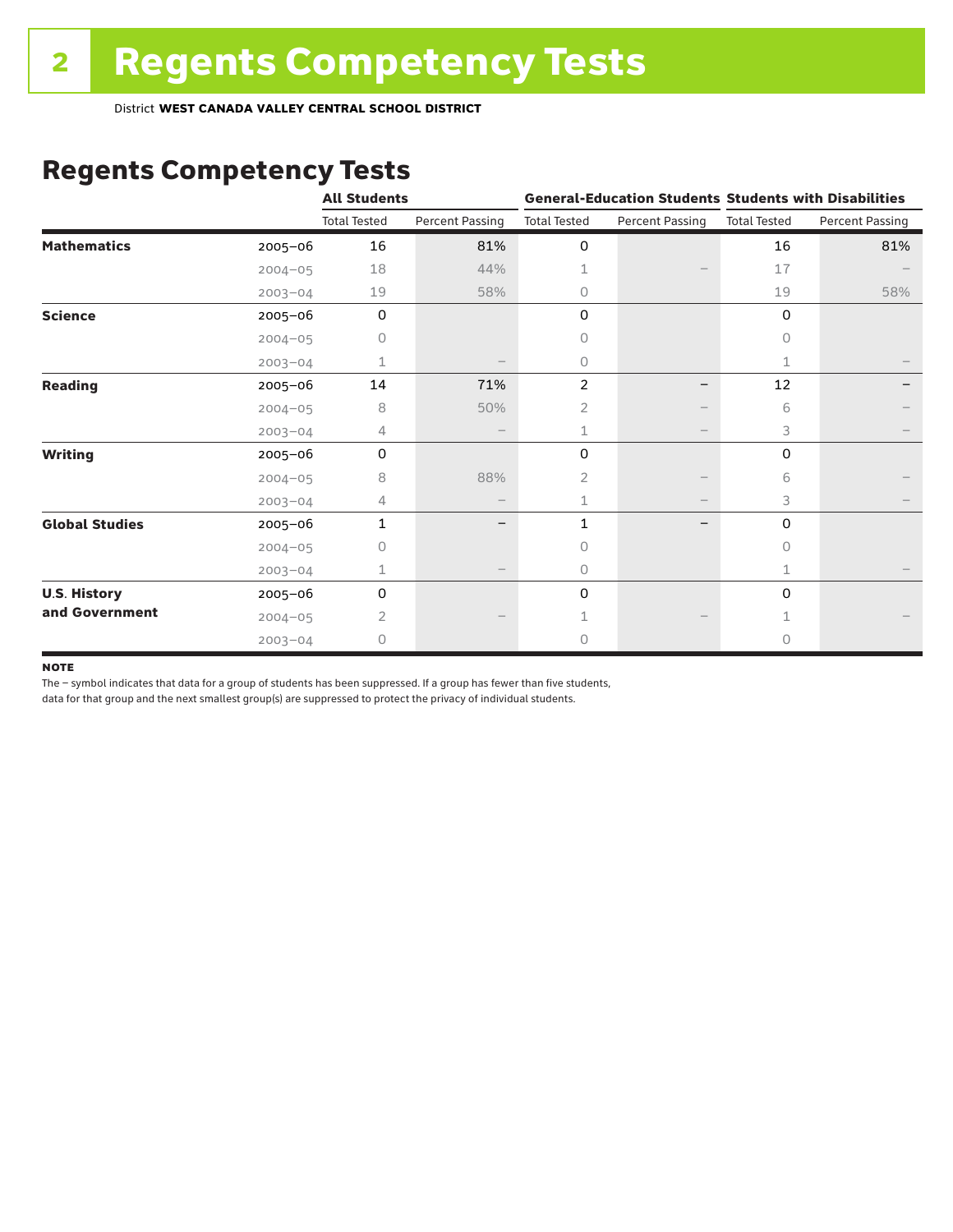# Regents Competency Tests

|                       |             | <b>All Students</b> |                        |                     |                        | <b>General-Education Students Students with Disabilities</b> |                        |  |
|-----------------------|-------------|---------------------|------------------------|---------------------|------------------------|--------------------------------------------------------------|------------------------|--|
|                       |             | <b>Total Tested</b> | <b>Percent Passing</b> | <b>Total Tested</b> | <b>Percent Passing</b> | <b>Total Tested</b>                                          | <b>Percent Passing</b> |  |
| <b>Mathematics</b>    | 2005-06     | 16                  | 81%                    | 0                   |                        | 16                                                           | 81%                    |  |
|                       | $2004 - 05$ | 18                  | 44%                    | $\mathbf{1}$        |                        | 17                                                           |                        |  |
|                       | $2003 - 04$ | 19                  | 58%                    | 0                   |                        | 19                                                           | 58%                    |  |
| <b>Science</b>        | 2005-06     | 0                   |                        | 0                   |                        | 0                                                            |                        |  |
|                       | $2004 - 05$ | 0                   |                        | 0                   |                        | 0                                                            |                        |  |
|                       | $2003 - 04$ | 1                   |                        | 0                   |                        | 1                                                            |                        |  |
| <b>Reading</b>        | $2005 - 06$ | 14                  | 71%                    | $\overline{2}$      | —                      | 12                                                           |                        |  |
|                       | $2004 - 05$ | 8                   | 50%                    | 2                   |                        | 6                                                            |                        |  |
|                       | $2003 - 04$ | 4                   |                        | 1                   | $\qquad \qquad -$      | 3                                                            |                        |  |
| <b>Writing</b>        | 2005-06     | $\Omega$            |                        | 0                   |                        | 0                                                            |                        |  |
|                       | $2004 - 05$ | 8                   | 88%                    | 2                   |                        | 6                                                            |                        |  |
|                       | $2003 - 04$ | 4                   |                        | 1                   | $\qquad \qquad -$      | 3                                                            |                        |  |
| <b>Global Studies</b> | 2005-06     | $\mathbf{1}$        |                        | 1                   |                        | 0                                                            |                        |  |
|                       | $2004 - 05$ | 0                   |                        | 0                   |                        | 0                                                            |                        |  |
|                       | $2003 - 04$ | 1                   |                        | 0                   |                        | 1                                                            |                        |  |
| <b>U.S. History</b>   | 2005-06     | 0                   |                        | 0                   |                        | $\mathbf 0$                                                  |                        |  |
| and Government        | $2004 - 05$ | $\overline{2}$      |                        |                     |                        |                                                              |                        |  |
|                       | $2003 - 04$ | 0                   |                        | 0                   |                        | 0                                                            |                        |  |

#### **NOTE**

The – symbol indicates that data for a group of students has been suppressed. If a group has fewer than five students,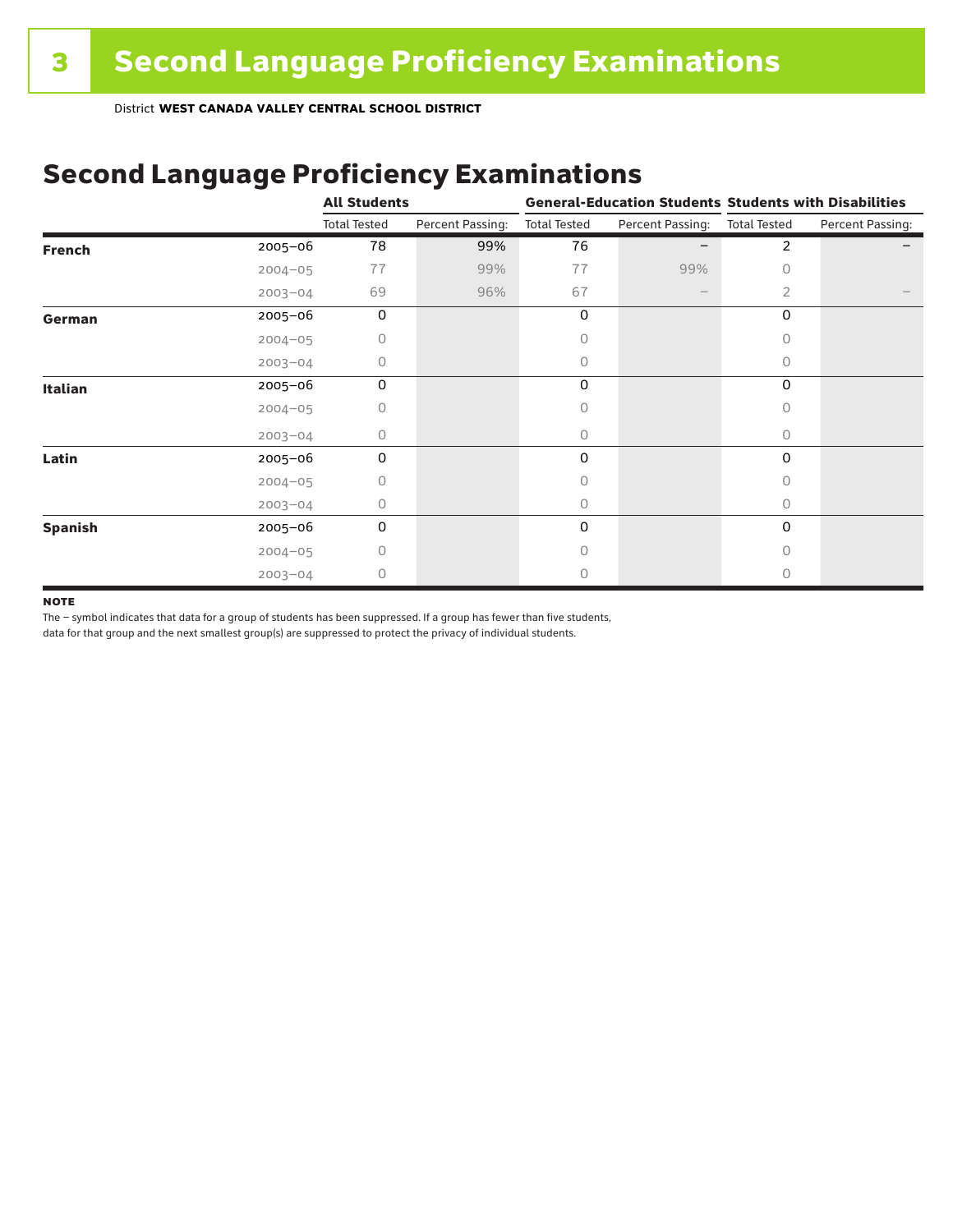## Second Language Proficiency Examinations

|                |             | <b>All Students</b> |                  | <b>General-Education Students Students with Disabilities</b> |                  |                     |                  |  |
|----------------|-------------|---------------------|------------------|--------------------------------------------------------------|------------------|---------------------|------------------|--|
|                |             | <b>Total Tested</b> | Percent Passing: | <b>Total Tested</b>                                          | Percent Passing: | <b>Total Tested</b> | Percent Passing: |  |
| <b>French</b>  | $2005 - 06$ | 78                  | 99%              | 76                                                           |                  | $\overline{2}$      |                  |  |
|                | $2004 - 05$ | 77                  | 99%              | 77                                                           | 99%              | 0                   |                  |  |
|                | $2003 - 04$ | 69                  | 96%              | 67                                                           |                  | $\overline{2}$      |                  |  |
| German         | 2005-06     | 0                   |                  | 0                                                            |                  | 0                   |                  |  |
|                | $2004 - 05$ | 0                   |                  | 0                                                            |                  | 0                   |                  |  |
|                | $2003 - 04$ | 0                   |                  | 0                                                            |                  | 0                   |                  |  |
| <b>Italian</b> | 2005-06     | 0                   |                  | 0                                                            |                  | 0                   |                  |  |
|                | $2004 - 05$ | 0                   |                  | Ω                                                            |                  |                     |                  |  |
|                | $2003 - 04$ | 0                   |                  | 0                                                            |                  | 0                   |                  |  |
| Latin          | 2005-06     | 0                   |                  | 0                                                            |                  | 0                   |                  |  |
|                | $2004 - 05$ | 0                   |                  | Ω                                                            |                  |                     |                  |  |
|                | $2003 - 04$ | 0                   |                  | 0                                                            |                  | 0                   |                  |  |
| <b>Spanish</b> | 2005-06     | 0                   |                  | 0                                                            |                  | 0                   |                  |  |
|                | $2004 - 05$ | 0                   |                  | 0                                                            |                  | n                   |                  |  |
|                | $2003 - 04$ | 0                   |                  | Ω                                                            |                  | Ω                   |                  |  |

#### **NOTE**

The – symbol indicates that data for a group of students has been suppressed. If a group has fewer than five students,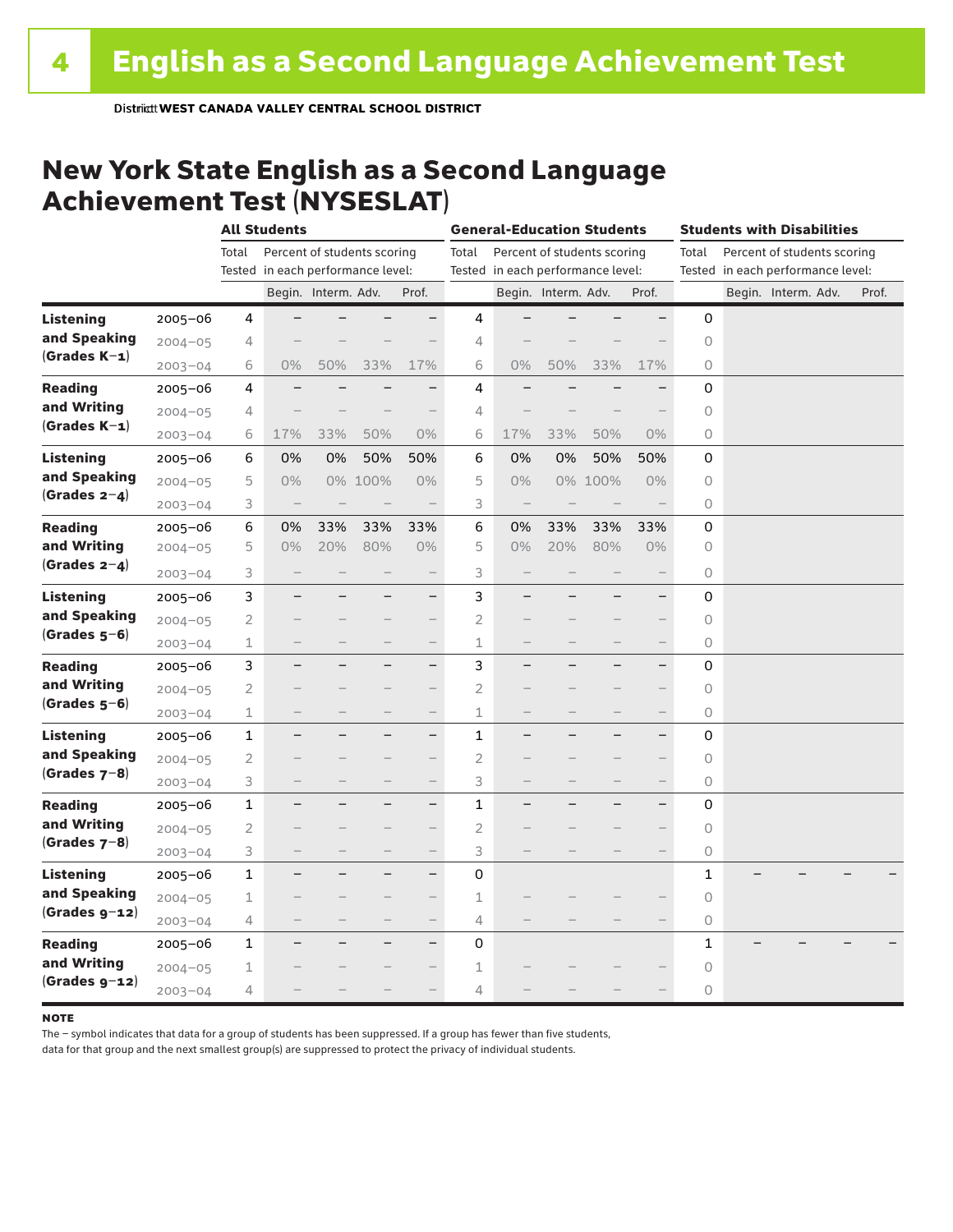### New York State English as a Second Language Achievement Test (NYSESLAT)

|                  |             |                | <b>All Students</b>               |                             |                          | <b>General-Education Students</b> |                                      |                                   |                     | <b>Students with Disabilities</b> |                          |                                      |                                   |  |                     |  |       |
|------------------|-------------|----------------|-----------------------------------|-----------------------------|--------------------------|-----------------------------------|--------------------------------------|-----------------------------------|---------------------|-----------------------------------|--------------------------|--------------------------------------|-----------------------------------|--|---------------------|--|-------|
|                  |             | Total          |                                   | Percent of students scoring |                          |                                   | Percent of students scoring<br>Total |                                   |                     |                                   |                          | Percent of students scoring<br>Total |                                   |  |                     |  |       |
|                  |             |                | Tested in each performance level: |                             |                          |                                   |                                      | Tested in each performance level: |                     |                                   |                          |                                      | Tested in each performance level: |  |                     |  |       |
|                  |             |                |                                   | Begin. Interm. Adv.         |                          | Prof.                             |                                      |                                   | Begin. Interm. Adv. |                                   | Prof.                    |                                      |                                   |  | Begin. Interm. Adv. |  | Prof. |
| <b>Listening</b> | $2005 - 06$ | 4              |                                   |                             |                          | -                                 | 4                                    |                                   |                     |                                   |                          | 0                                    |                                   |  |                     |  |       |
| and Speaking     | $2004 - 05$ | 4              |                                   |                             |                          |                                   | 4                                    |                                   |                     |                                   |                          | 0                                    |                                   |  |                     |  |       |
| $(Grades K-1)$   | $2003 - 04$ | 6              | $0\%$                             | 50%                         | 33%                      | 17%                               | 6                                    | 0%                                | 50%                 | 33%                               | 17%                      | 0                                    |                                   |  |                     |  |       |
| <b>Reading</b>   | $2005 - 06$ | 4              |                                   |                             |                          | $\overline{\phantom{0}}$          | 4                                    |                                   |                     |                                   |                          | 0                                    |                                   |  |                     |  |       |
| and Writing      | $2004 - 05$ | 4              |                                   |                             |                          |                                   | 4                                    |                                   |                     |                                   |                          | 0                                    |                                   |  |                     |  |       |
| $(Grades K-1)$   | $2003 - 04$ | 6              | 17%                               | 33%                         | 50%                      | 0%                                | 6                                    | 17%                               | 33%                 | 50%                               | 0%                       | $\bigcirc$                           |                                   |  |                     |  |       |
| <b>Listening</b> | $2005 - 06$ | 6              | 0%                                | 0%                          | 50%                      | 50%                               | 6                                    | 0%                                | 0%                  | 50%                               | 50%                      | 0                                    |                                   |  |                     |  |       |
| and Speaking     | $2004 - 05$ | 5              | $0\%$                             |                             | 0% 100%                  | 0%                                | 5                                    | 0%                                | 0%                  | 100%                              | $0\%$                    | $\circledcirc$                       |                                   |  |                     |  |       |
| (Grades $2-4$ )  | $2003 - 04$ | 3              | $\overline{\phantom{m}}$          |                             |                          | $\qquad \qquad -$                 | 3                                    | $\qquad \qquad -$                 |                     |                                   |                          | $\bigcirc$                           |                                   |  |                     |  |       |
| <b>Reading</b>   | $2005 - 06$ | 6              | 0%                                | 33%                         | 33%                      | 33%                               | 6                                    | 0%                                | 33%                 | 33%                               | 33%                      | 0                                    |                                   |  |                     |  |       |
| and Writing      | $2004 - 05$ | 5              | 0%                                | 20%                         | 80%                      | $0\%$                             | 5                                    | 0%                                | 20%                 | 80%                               | $0\%$                    | 0                                    |                                   |  |                     |  |       |
| $(Grades 2-4)$   | $2003 - 04$ | 3              | -                                 |                             | $\qquad \qquad$          | $\qquad \qquad -$                 | 3                                    |                                   |                     | $\qquad \qquad$                   | $\overline{\phantom{0}}$ | 0                                    |                                   |  |                     |  |       |
| Listening        | $2005 - 06$ | 3              |                                   |                             |                          | $-$                               | 3                                    |                                   |                     |                                   | $\overline{\phantom{0}}$ | 0                                    |                                   |  |                     |  |       |
| and Speaking     | $2004 - 05$ | 2              |                                   |                             |                          | $\overline{\phantom{0}}$          | $\overline{2}$                       |                                   |                     |                                   | $\overline{\phantom{0}}$ | 0                                    |                                   |  |                     |  |       |
| $(Grades 5-6)$   | $2003 - 04$ | 1              |                                   |                             |                          |                                   | 1                                    |                                   |                     |                                   | $\overline{\phantom{0}}$ | $\bigcirc$                           |                                   |  |                     |  |       |
| <b>Reading</b>   | $2005 - 06$ | 3              | ÷,                                |                             | -                        | $\qquad \qquad -$                 | 3                                    |                                   |                     |                                   | $\overline{\phantom{0}}$ | 0                                    |                                   |  |                     |  |       |
| and Writing      | $2004 - 05$ | $\overline{2}$ |                                   |                             |                          |                                   | $\overline{c}$                       |                                   |                     |                                   | $\qquad \qquad -$        | $\circ$                              |                                   |  |                     |  |       |
| $(Grades 5-6)$   | $2003 - 04$ | 1              | -                                 |                             |                          | $\qquad \qquad -$                 | $\mathbbm{1}$                        | $\qquad \qquad -$                 |                     | $\overline{\phantom{0}}$          | $\qquad \qquad -$        | 0                                    |                                   |  |                     |  |       |
| <b>Listening</b> | $2005 - 06$ | 1              |                                   |                             |                          | $\qquad \qquad -$                 | $\mathbf{1}$                         |                                   |                     |                                   | $\overline{\phantom{0}}$ | 0                                    |                                   |  |                     |  |       |
| and Speaking     | $2004 - 05$ | 2              |                                   |                             |                          | $-$                               | 2                                    |                                   |                     |                                   | $\overline{\phantom{0}}$ | $\circ$                              |                                   |  |                     |  |       |
| $(Grades 7-8)$   | $2003 - 04$ | 3              | -                                 |                             | $\qquad \qquad$          | $\qquad \qquad -$                 | 3                                    | $\qquad \qquad -$                 |                     | -                                 | $\qquad \qquad -$        | 0                                    |                                   |  |                     |  |       |
| <b>Reading</b>   | $2005 - 06$ | 1              |                                   |                             |                          | $\overline{\phantom{0}}$          | 1                                    |                                   |                     |                                   | $\overline{\phantom{0}}$ | 0                                    |                                   |  |                     |  |       |
| and Writing      | $2004 - 05$ | 2              |                                   |                             |                          |                                   | $\overline{2}$                       |                                   |                     |                                   |                          | $\circ$                              |                                   |  |                     |  |       |
| (Grades $7-8$ )  | $2003 - 04$ | 3              |                                   |                             |                          |                                   | 3                                    |                                   |                     |                                   | $\overline{\phantom{0}}$ | $\circ$                              |                                   |  |                     |  |       |
| <b>Listening</b> | $2005 - 06$ | 1              |                                   |                             |                          | $\overline{\phantom{0}}$          | 0                                    |                                   |                     |                                   |                          | 1                                    |                                   |  |                     |  |       |
| and Speaking     | $2004 - 05$ | 1              |                                   |                             |                          | $\qquad \qquad -$                 | 1                                    |                                   |                     |                                   |                          | $\circ$                              |                                   |  |                     |  |       |
| $(Grades g-12)$  | $2003 - 04$ | 4              | $\overline{\phantom{0}}$          |                             | $\overline{\phantom{0}}$ | $\qquad \qquad -$                 | 4                                    |                                   |                     |                                   | $\overline{\phantom{0}}$ | $\circledcirc$                       |                                   |  |                     |  |       |
| <b>Reading</b>   | $2005 - 06$ | 1              |                                   |                             |                          | $\qquad \qquad -$                 | 0                                    |                                   |                     |                                   |                          | 1                                    |                                   |  |                     |  |       |
| and Writing      | $2004 - 05$ | 1              |                                   |                             |                          |                                   | 1                                    |                                   |                     |                                   |                          | 0                                    |                                   |  |                     |  |       |
| $(Grades g-12)$  | $2003 - 04$ | 4              |                                   |                             |                          | $\overline{\phantom{0}}$          | 4                                    |                                   |                     |                                   |                          | 0                                    |                                   |  |                     |  |       |

#### **NOTE**

The – symbol indicates that data for a group of students has been suppressed. If a group has fewer than five students,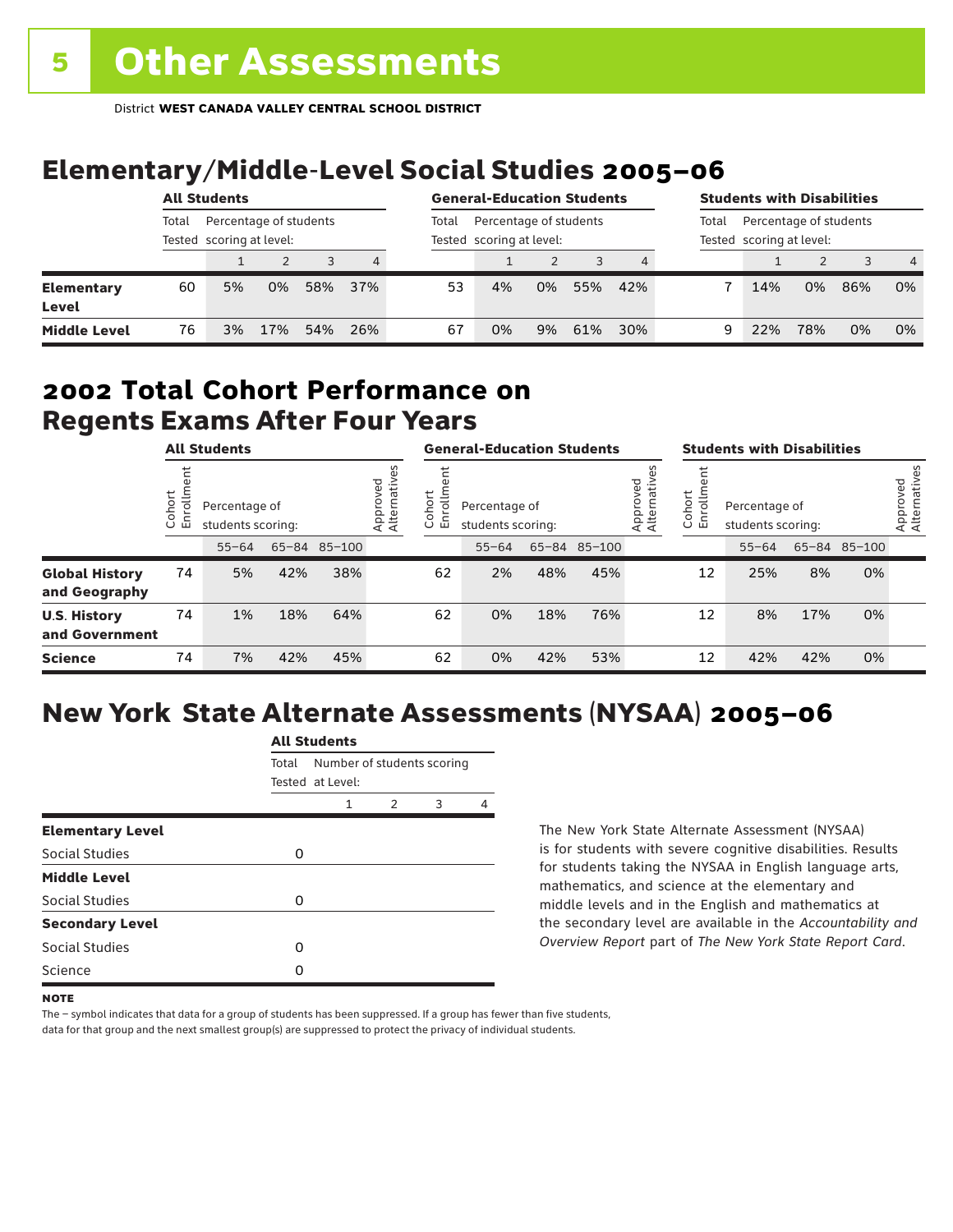# Elementary/Middle-Level Social Studies 2005–06

| <b>All Students</b>        |       |                                                    |     |     | <b>General-Education Students</b> |       |                                                    |    |     | <b>Students with Disabilities</b> |       |                                                    |     |     |                |
|----------------------------|-------|----------------------------------------------------|-----|-----|-----------------------------------|-------|----------------------------------------------------|----|-----|-----------------------------------|-------|----------------------------------------------------|-----|-----|----------------|
|                            | Total | Percentage of students<br>Tested scoring at level: |     |     |                                   | Total | Percentage of students<br>Tested scoring at level: |    |     |                                   | Total | Percentage of students<br>Tested scoring at level: |     |     |                |
|                            |       |                                                    |     |     | $\overline{4}$                    |       |                                                    |    |     |                                   |       |                                                    |     |     | $\overline{4}$ |
| <b>Elementary</b><br>Level | 60    | 5%                                                 | 0%  | 58% | 37%                               | 53    | 4%                                                 | 0% | 55% | 42%                               |       | 14%                                                | 0%  | 86% | 0%             |
| <b>Middle Level</b>        | 76    | 3%                                                 | 17% | 54% | 26%                               | 67    | 0%                                                 | 9% | 61% | 30%                               | 9     | 22%                                                | 78% | 0%  | 0%             |

### Regents Exams After Four Years 2002 **Total Cohort Performance on**

| <b>All Students</b>                    |                   |                                    |     |              | <b>General-Education Students</b> |                                           |                                    |     |              | <b>Students with Disabilities</b> |                       |                                    |     |              |                          |
|----------------------------------------|-------------------|------------------------------------|-----|--------------|-----------------------------------|-------------------------------------------|------------------------------------|-----|--------------|-----------------------------------|-----------------------|------------------------------------|-----|--------------|--------------------------|
|                                        | ohort<br>o,<br>ごこ | Percentage of<br>students scoring: |     |              | Approved<br>Alternative           | hort<br>≣<br>o.<br>$\circ$<br>문<br>$\cup$ | Percentage of<br>students scoring: |     |              | Approved<br>Alternatives          | Cohort<br>크<br>5<br>훕 | Percentage of<br>students scoring: |     |              | Approved<br>Alternatives |
|                                        |                   | $55 - 64$                          |     | 65-84 85-100 |                                   |                                           | $55 - 64$                          |     | 65-84 85-100 |                                   |                       | $55 - 64$                          |     | 65-84 85-100 |                          |
| <b>Global History</b><br>and Geography | 74                | 5%                                 | 42% | 38%          |                                   | 62                                        | 2%                                 | 48% | 45%          |                                   | 12                    | 25%                                | 8%  | 0%           |                          |
| <b>U.S. History</b><br>and Government  | 74                | 1%                                 | 18% | 64%          |                                   | 62                                        | 0%                                 | 18% | 76%          |                                   | 12                    | 8%                                 | 17% | 0%           |                          |
| <b>Science</b>                         | 74                | 7%                                 | 42% | 45%          |                                   | 62                                        | 0%                                 | 42% | 53%          |                                   | 12                    | 42%                                | 42% | 0%           |                          |

# New York State Alternate Assessments (NYSAA) 2005–06

|                         |       | All Students                                   |   |   |  |  |  |  |  |
|-------------------------|-------|------------------------------------------------|---|---|--|--|--|--|--|
|                         | Total | Number of students scoring<br>Tested at Level: |   |   |  |  |  |  |  |
|                         |       | 1                                              | 2 | 3 |  |  |  |  |  |
| <b>Elementary Level</b> |       |                                                |   |   |  |  |  |  |  |
| Social Studies          | 0     |                                                |   |   |  |  |  |  |  |
| <b>Middle Level</b>     |       |                                                |   |   |  |  |  |  |  |
| Social Studies          | O     |                                                |   |   |  |  |  |  |  |
| <b>Secondary Level</b>  |       |                                                |   |   |  |  |  |  |  |
| Social Studies          | O     |                                                |   |   |  |  |  |  |  |
| Science                 | n     |                                                |   |   |  |  |  |  |  |
|                         |       |                                                |   |   |  |  |  |  |  |

All Canada

The New York State Alternate Assessment (NYSAA) is for students with severe cognitive disabilities. Results for students taking the NYSAA in English language arts, mathematics, and science at the elementary and middle levels and in the English and mathematics at the secondary level are available in the *Accountability and Overview Report* part of *The New York State Report Card*.

The – symbol indicates that data for a group of students has been suppressed. If a group has fewer than five students,

**NOTE**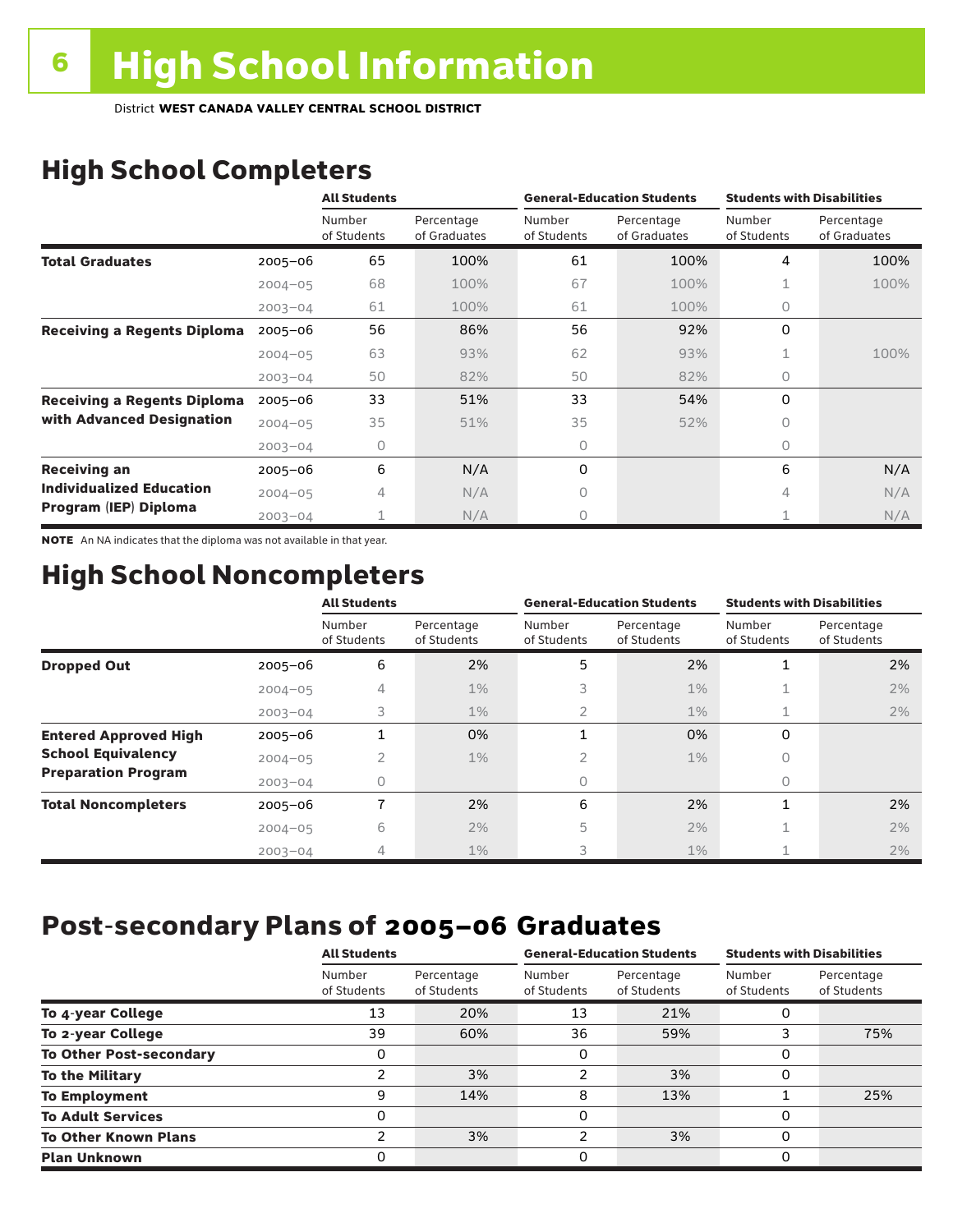# High School Completers

|                                    |             | <b>All Students</b>   |                            |                       | <b>General-Education Students</b> | <b>Students with Disabilities</b> |                            |  |
|------------------------------------|-------------|-----------------------|----------------------------|-----------------------|-----------------------------------|-----------------------------------|----------------------------|--|
|                                    |             | Number<br>of Students | Percentage<br>of Graduates | Number<br>of Students | Percentage<br>of Graduates        | Number<br>of Students             | Percentage<br>of Graduates |  |
| <b>Total Graduates</b>             | $2005 - 06$ | 65                    | 100%                       | 61                    | 100%                              | 4                                 | 100%                       |  |
|                                    | $2004 - 05$ | 68                    | 100%                       | 67                    | 100%                              |                                   | 100%                       |  |
|                                    | $2003 - 04$ | 61                    | 100%                       | 61                    | 100%                              | $\circ$                           |                            |  |
| <b>Receiving a Regents Diploma</b> | $2005 - 06$ | 56                    | 86%                        | 56                    | 92%                               | 0                                 |                            |  |
|                                    | $2004 - 05$ | 63                    | 93%                        | 62                    | 93%                               |                                   | 100%                       |  |
|                                    | $2003 - 04$ | 50                    | 82%                        | 50                    | 82%                               | 0                                 |                            |  |
| <b>Receiving a Regents Diploma</b> | $2005 - 06$ | 33                    | 51%                        | 33                    | 54%                               | 0                                 |                            |  |
| with Advanced Designation          | $2004 - 05$ | 35                    | 51%                        | 35                    | 52%                               | $\circ$                           |                            |  |
|                                    | $2003 - 04$ | 0                     |                            | 0                     |                                   | 0                                 |                            |  |
| <b>Receiving an</b>                | $2005 - 06$ | 6                     | N/A                        | 0                     |                                   | 6                                 | N/A                        |  |
| <b>Individualized Education</b>    | $2004 - 05$ | 4                     | N/A                        | 0                     |                                   | 4                                 | N/A                        |  |
| Program (IEP) Diploma              | $2003 - 04$ |                       | N/A                        | 0                     |                                   |                                   | N/A                        |  |

NOTE An NA indicates that the diploma was not available in that year.

# High School Noncompleters

|                              |             | <b>All Students</b>   |                           |                          | <b>General-Education Students</b> | <b>Students with Disabilities</b> |                           |  |
|------------------------------|-------------|-----------------------|---------------------------|--------------------------|-----------------------------------|-----------------------------------|---------------------------|--|
|                              |             | Number<br>of Students | Percentage<br>of Students | Number<br>of Students    | Percentage<br>of Students         | Number<br>of Students             | Percentage<br>of Students |  |
| <b>Dropped Out</b>           | $2005 - 06$ | 6                     | 2%                        | 5                        | 2%                                | 1                                 | 2%                        |  |
|                              | $2004 - 05$ | 4                     | $1\%$                     | 3                        | $1\%$                             |                                   | 2%                        |  |
|                              | $2003 - 04$ | 3                     | $1\%$                     | 2                        | $1\%$                             | 1                                 | 2%                        |  |
| <b>Entered Approved High</b> | $2005 - 06$ |                       | 0%                        | $\overline{\phantom{a}}$ | 0%                                | 0                                 |                           |  |
| <b>School Equivalency</b>    | $2004 - 05$ | 2                     | $1\%$                     | 2                        | 1%                                | 0                                 |                           |  |
| <b>Preparation Program</b>   | $2003 - 04$ | 0                     |                           | 0                        |                                   | 0                                 |                           |  |
| <b>Total Noncompleters</b>   | $2005 - 06$ | 7                     | 2%                        | 6                        | 2%                                | 1                                 | 2%                        |  |
|                              | $2004 - 05$ | 6                     | 2%                        | 5                        | 2%                                |                                   | 2%                        |  |
|                              | $2003 - 04$ | 4                     | $1\%$                     | 3                        | $1\%$                             |                                   | 2%                        |  |

# Post-secondary Plans of 2005–06 **Graduates**

|                                | <b>All Students</b>   |                           |                       | <b>General-Education Students</b> | <b>Students with Disabilities</b> |                           |  |
|--------------------------------|-----------------------|---------------------------|-----------------------|-----------------------------------|-----------------------------------|---------------------------|--|
|                                | Number<br>of Students | Percentage<br>of Students | Number<br>of Students | Percentage<br>of Students         | Number<br>of Students             | Percentage<br>of Students |  |
| To 4-year College              | 13                    | 20%                       | 13                    | 21%                               |                                   |                           |  |
| To 2-year College              | 39                    | 60%                       | 36                    | 59%                               |                                   | 75%                       |  |
| <b>To Other Post-secondary</b> |                       |                           | 0                     |                                   | O                                 |                           |  |
| <b>To the Military</b>         |                       | 3%                        | $\overline{2}$        | 3%                                | 0                                 |                           |  |
| <b>To Employment</b>           | 9                     | 14%                       | 8                     | 13%                               |                                   | 25%                       |  |
| <b>To Adult Services</b>       |                       |                           | 0                     |                                   | 0                                 |                           |  |
| <b>To Other Known Plans</b>    | ົ                     | 3%                        | 2                     | 3%                                | 0                                 |                           |  |
| <b>Plan Unknown</b>            |                       |                           | 0                     |                                   | O                                 |                           |  |